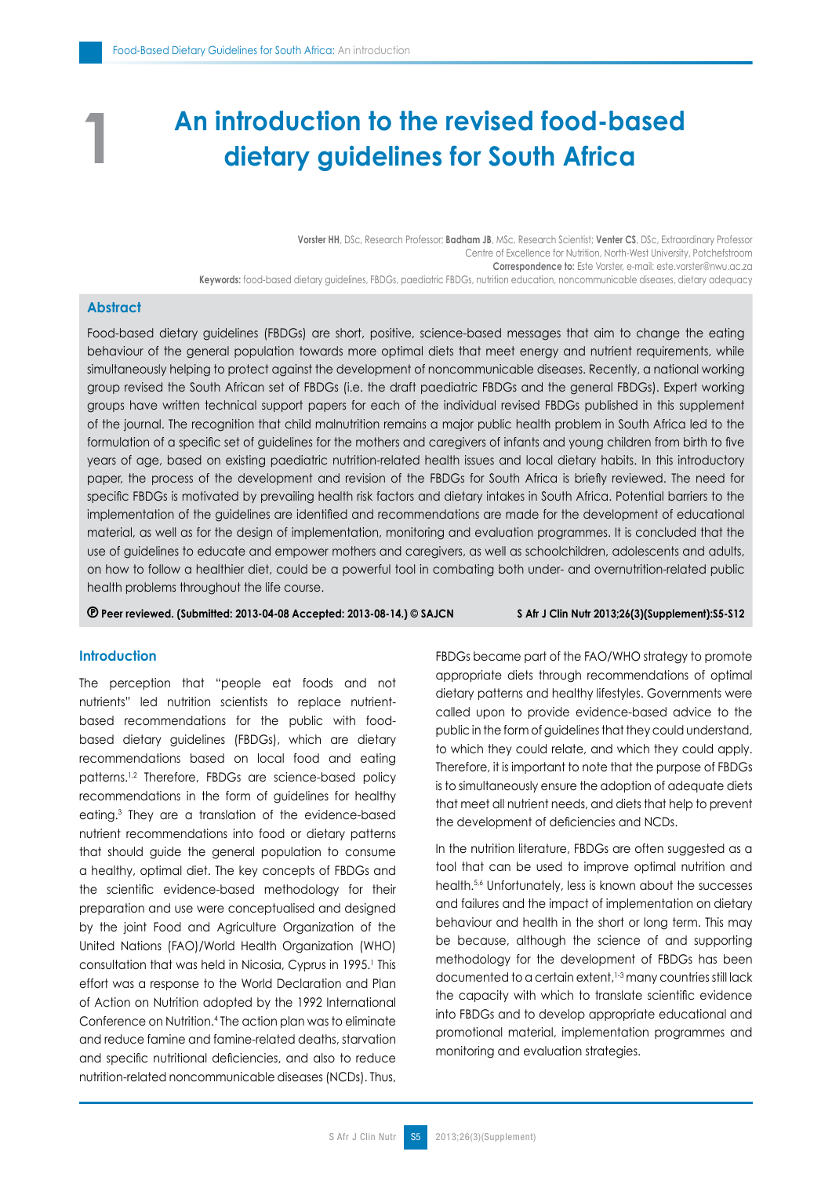# **An introduction to the revised food-based dietary guidelines for South Africa**

**Vorster HH**, DSc, Research Professor; **Badham JB**, MSc, Research Scientist; **Venter CS**, DSc, Extraordinary Professor Centre of Excellence for Nutrition, North-West University, Potchefstroom **Correspondence to:** Este Vorster, e-mail: este.vorster@nwu.ac.za **Keywords:** food-based dietary guidelines, FBDGs, paediatric FBDGs, nutrition education, noncommunicable diseases, dietary adequacy

# **Abstract**

**1**

Food-based dietary guidelines (FBDGs) are short, positive, science-based messages that aim to change the eating behaviour of the general population towards more optimal diets that meet energy and nutrient requirements, while simultaneously helping to protect against the development of noncommunicable diseases. Recently, a national working group revised the South African set of FBDGs (i.e. the draft paediatric FBDGs and the general FBDGs). Expert working groups have written technical support papers for each of the individual revised FBDGs published in this supplement of the journal. The recognition that child malnutrition remains a major public health problem in South Africa led to the formulation of a specific set of guidelines for the mothers and caregivers of infants and young children from birth to five years of age, based on existing paediatric nutrition-related health issues and local dietary habits. In this introductory paper, the process of the development and revision of the FBDGs for South Africa is briefly reviewed. The need for specific FBDGs is motivated by prevailing health risk factors and dietary intakes in South Africa. Potential barriers to the implementation of the guidelines are identified and recommendations are made for the development of educational material, as well as for the design of implementation, monitoring and evaluation programmes. It is concluded that the use of guidelines to educate and empower mothers and caregivers, as well as schoolchildren, adolescents and adults, on how to follow a healthier diet, could be a powerful tool in combating both under- and overnutrition-related public health problems throughout the life course.

 **Peer reviewed. (Submitted: 2013-04-08 Accepted: 2013-08-14.) © SAJCN S Afr J Clin Nutr 2013;26(3)(Supplement):S5-S12**

#### **Introduction**

The perception that "people eat foods and not nutrients" led nutrition scientists to replace nutrientbased recommendations for the public with foodbased dietary guidelines (FBDGs), which are dietary recommendations based on local food and eating patterns.1,2 Therefore, FBDGs are science-based policy recommendations in the form of guidelines for healthy eating.3 They are a translation of the evidence-based nutrient recommendations into food or dietary patterns that should guide the general population to consume a healthy, optimal diet. The key concepts of FBDGs and the scientific evidence-based methodology for their preparation and use were conceptualised and designed by the joint Food and Agriculture Organization of the United Nations (FAO)/World Health Organization (WHO) consultation that was held in Nicosia, Cyprus in 1995.<sup>1</sup> This effort was a response to the World Declaration and Plan of Action on Nutrition adopted by the 1992 International Conference on Nutrition.4 The action plan was to eliminate and reduce famine and famine-related deaths, starvation and specific nutritional deficiencies, and also to reduce nutrition-related noncommunicable diseases (NCDs). Thus, FBDGs became part of the FAO/WHO strategy to promote appropriate diets through recommendations of optimal dietary patterns and healthy lifestyles. Governments were called upon to provide evidence-based advice to the public in the form of guidelines that they could understand, to which they could relate, and which they could apply. Therefore, it is important to note that the purpose of FBDGs is to simultaneously ensure the adoption of adequate diets that meet all nutrient needs, and diets that help to prevent the development of deficiencies and NCDs.

In the nutrition literature, FBDGs are often suggested as a tool that can be used to improve optimal nutrition and health.5,6 Unfortunately, less is known about the successes and failures and the impact of implementation on dietary behaviour and health in the short or long term. This may be because, although the science of and supporting methodology for the development of FBDGs has been documented to a certain extent, 1-3 many countries still lack the capacity with which to translate scientific evidence into FBDGs and to develop appropriate educational and promotional material, implementation programmes and monitoring and evaluation strategies.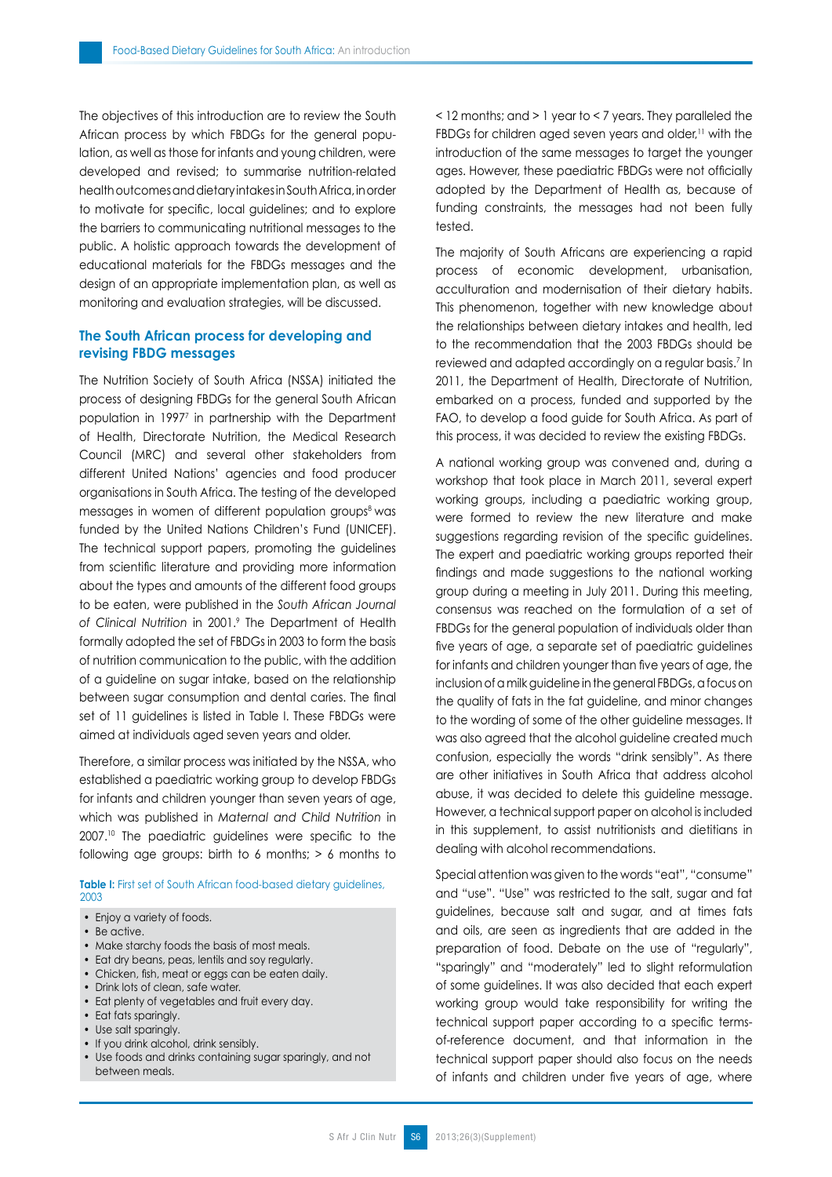The objectives of this introduction are to review the South African process by which FBDGs for the general population, as well as those for infants and young children, were developed and revised; to summarise nutrition-related health outcomes and dietary intakes in South Africa, in order to motivate for specific, local guidelines; and to explore the barriers to communicating nutritional messages to the public. A holistic approach towards the development of educational materials for the FBDGs messages and the design of an appropriate implementation plan, as well as monitoring and evaluation strategies, will be discussed.

## **The South African process for developing and revising FBDG messages**

The Nutrition Society of South Africa (NSSA) initiated the process of designing FBDGs for the general South African population in 19977 in partnership with the Department of Health, Directorate Nutrition, the Medical Research Council (MRC) and several other stakeholders from different United Nations' agencies and food producer organisations in South Africa. The testing of the developed messages in women of different population groups<sup>8</sup> was funded by the United Nations Children's Fund (UNICEF). The technical support papers, promoting the guidelines from scientific literature and providing more information about the types and amounts of the different food groups to be eaten, were published in the *South African Journal of Clinical Nutrition* in 2001.9 The Department of Health formally adopted the set of FBDGs in 2003 to form the basis of nutrition communication to the public, with the addition of a guideline on sugar intake, based on the relationship between sugar consumption and dental caries. The final set of 11 guidelines is listed in Table I. These FBDGs were aimed at individuals aged seven years and older.

Therefore, a similar process was initiated by the NSSA, who established a paediatric working group to develop FBDGs for infants and children younger than seven years of age, which was published in *Maternal and Child Nutrition* in 2007.10 The paediatric guidelines were specific to the following age groups: birth to 6 months;  $> 6$  months to

**Table I:** First set of South African food-based dietary auidelines, 2003

• Enjoy a variety of foods.

- Be active.
- Make starchy foods the basis of most meals.
- Eat dry beans, peas, lentils and soy regularly.
- Chicken, fish, meat or eggs can be eaten daily.
- Drink lots of clean, safe water.
- Eat plenty of vegetables and fruit every day.
- Eat fats sparingly.
- Use salt sparingly.
- If you drink alcohol, drink sensibly.
- Use foods and drinks containing sugar sparingly, and not between meals.

< 12 months; and > 1 year to < 7 years. They paralleled the FBDGs for children aged seven years and older,<sup>11</sup> with the introduction of the same messages to target the younger ages. However, these paediatric FBDGs were not officially adopted by the Department of Health as, because of funding constraints, the messages had not been fully tested.

The majority of South Africans are experiencing a rapid process of economic development, urbanisation, acculturation and modernisation of their dietary habits. This phenomenon, together with new knowledge about the relationships between dietary intakes and health, led to the recommendation that the 2003 FBDGs should be reviewed and adapted accordingly on a regular basis.<sup>7</sup> In 2011, the Department of Health, Directorate of Nutrition, embarked on a process, funded and supported by the FAO, to develop a food guide for South Africa. As part of this process, it was decided to review the existing FBDGs.

A national working group was convened and, during a workshop that took place in March 2011, several expert working groups, including a paediatric working group, were formed to review the new literature and make suggestions regarding revision of the specific guidelines. The expert and paediatric working groups reported their findings and made suggestions to the national working group during a meeting in July 2011. During this meeting, consensus was reached on the formulation of a set of FBDGs for the general population of individuals older than five years of age, a separate set of paediatric guidelines for infants and children younger than five years of age, the inclusion of a milk guideline in the general FBDGs, a focus on the quality of fats in the fat guideline, and minor changes to the wording of some of the other guideline messages. It was also agreed that the alcohol guideline created much confusion, especially the words "drink sensibly". As there are other initiatives in South Africa that address alcohol abuse, it was decided to delete this guideline message. However, a technical support paper on alcohol is included in this supplement, to assist nutritionists and dietitians in dealing with alcohol recommendations.

Special attention was given to the words "eat", "consume" and "use". "Use" was restricted to the salt, sugar and fat guidelines, because salt and sugar, and at times fats and oils, are seen as ingredients that are added in the preparation of food. Debate on the use of "regularly", "sparingly" and "moderately" led to slight reformulation of some guidelines. It was also decided that each expert working group would take responsibility for writing the technical support paper according to a specific termsof-reference document, and that information in the technical support paper should also focus on the needs of infants and children under five years of age, where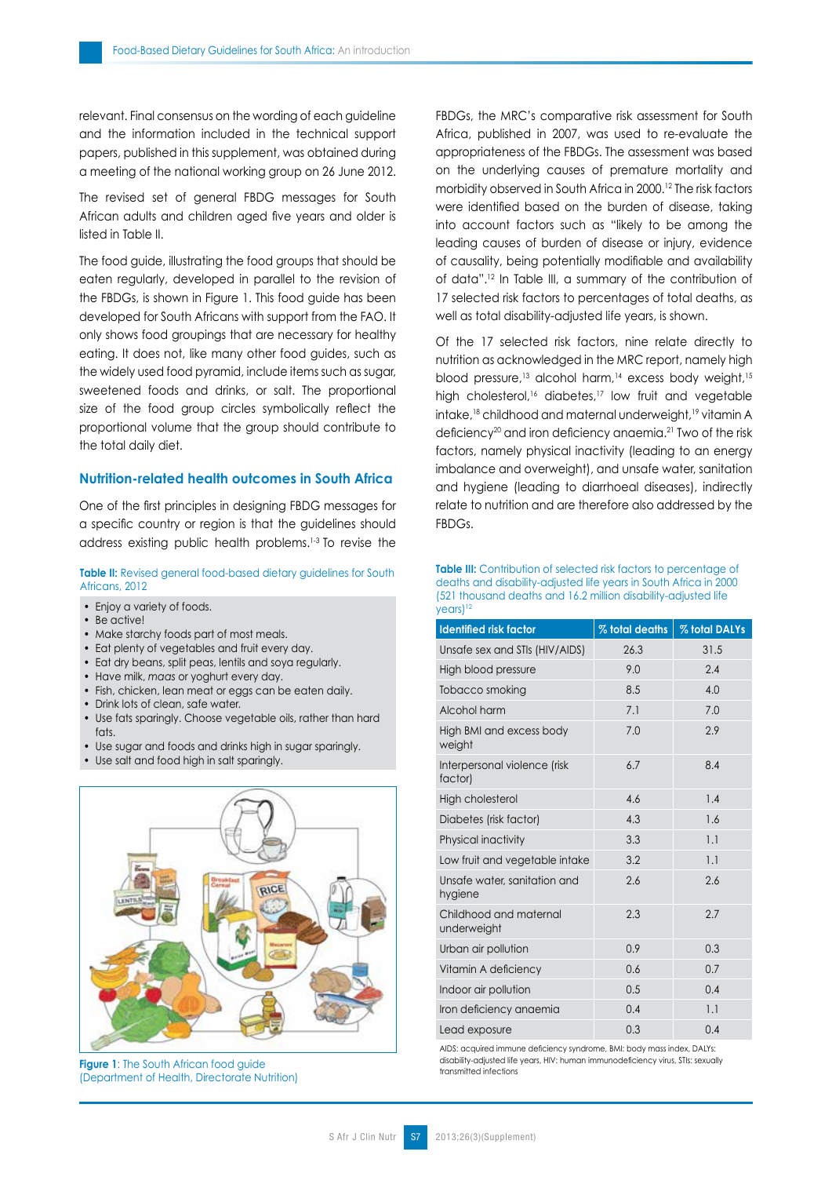relevant. Final consensus on the wording of each guideline and the information included in the technical support papers, published in this supplement, was obtained during a meeting of the national working group on 26 June 2012.

The revised set of general FBDG messages for South African adults and children aged five years and older is listed in Table II.

The food guide, illustrating the food groups that should be eaten regularly, developed in parallel to the revision of the FBDGs, is shown in Figure 1. This food guide has been developed for South Africans with support from the FAO. It only shows food groupings that are necessary for healthy eating. It does not, like many other food guides, such as the widely used food pyramid, include items such as sugar, sweetened foods and drinks, or salt. The proportional size of the food group circles symbolically reflect the proportional volume that the group should contribute to the total daily diet.

## **Nutrition-related health outcomes in South Africa**

One of the first principles in designing FBDG messages for a specific country or region is that the guidelines should address existing public health problems.1-3 To revise the

**Table II:** Revised general food-based dietary guidelines for South Africans, 2012

- Enjoy a variety of foods.
- Be active!
- Make starchy foods part of most meals.
- Eat plenty of vegetables and fruit every day.
- Eat dry beans, split peas, lentils and soya regularly.
- Have milk, *maas* or yoghurt every day.
- Fish, chicken, lean meat or eggs can be eaten daily.
- Drink lots of clean, safe water.
- Use fats sparingly. Choose vegetable oils, rather than hard fats.
- Use sugar and foods and drinks high in sugar sparingly.
- Use salt and food high in salt sparingly.



**Figure 1:** The South African food guide (Department of Health, Directorate Nutrition)

FBDGs, the MRC's comparative risk assessment for South Africa, published in 2007, was used to re-evaluate the appropriateness of the FBDGs. The assessment was based on the underlying causes of premature mortality and morbidity observed in South Africa in 2000.12 The risk factors were identified based on the burden of disease, taking into account factors such as "likely to be among the leading causes of burden of disease or injury, evidence of causality, being potentially modifiable and availability of data".12 In Table III, a summary of the contribution of 17 selected risk factors to percentages of total deaths, as well as total disability-adjusted life years, is shown.

Of the 17 selected risk factors, nine relate directly to nutrition as acknowledged in the MRC report, namely high blood pressure,<sup>13</sup> alcohol harm,<sup>14</sup> excess body weight,<sup>15</sup> high cholesterol,<sup>16</sup> diabetes,<sup>17</sup> low fruit and vegetable intake,<sup>18</sup> childhood and maternal underweight,<sup>19</sup> vitamin A deficiency<sup>20</sup> and iron deficiency anaemia.<sup>21</sup> Two of the risk factors, namely physical inactivity (leading to an energy imbalance and overweight), and unsafe water, sanitation and hygiene (leading to diarrhoeal diseases), indirectly relate to nutrition and are therefore also addressed by the FBDGs.

**Table III:** Contribution of selected risk factors to percentage of deaths and disability-adjusted life years in South Africa in 2000 (521 thousand deaths and 16.2 million disability-adjusted life years)<sup>12</sup>

| <b>Identified risk factor</b>           | % total deaths | % total DALYs |
|-----------------------------------------|----------------|---------------|
| Unsafe sex and STIs (HIV/AIDS)          | 26.3           | 31.5          |
| High blood pressure                     | 9.0            | 2.4           |
| Tobacco smoking                         | 8.5            | 4.0           |
| Alcohol harm                            | 7.1            | 7.0           |
| High BMI and excess body<br>weight      | 7.0            | 2.9           |
| Interpersonal violence (risk<br>factor) | 6.7            | 8.4           |
| High cholesterol                        | 4.6            | 1.4           |
| Diabetes (risk factor)                  | 4.3            | 1.6           |
| Physical inactivity                     | 3.3            | 1.1           |
| Low fruit and vegetable intake          | 3.2            | 1.1           |
| Unsafe water, sanitation and<br>hygiene | 2.6            | 2.6           |
| Childhood and maternal<br>underweight   | 2.3            | 2.7           |
| Urban air pollution                     | 0.9            | 0.3           |
| Vitamin A deficiency                    | 0.6            | 0.7           |
| Indoor air pollution                    | 0.5            | 0.4           |
| Iron deficiency anaemia                 | 0.4            | 1.1           |
| Lead exposure                           | 0.3            | 0.4           |

AIDS: acquired immune deficiency syndrome, BMI: body mass index, DALYs: disability-adjusted life years, HIV: human immunodeficiency virus, STIs: sexually transmitted infections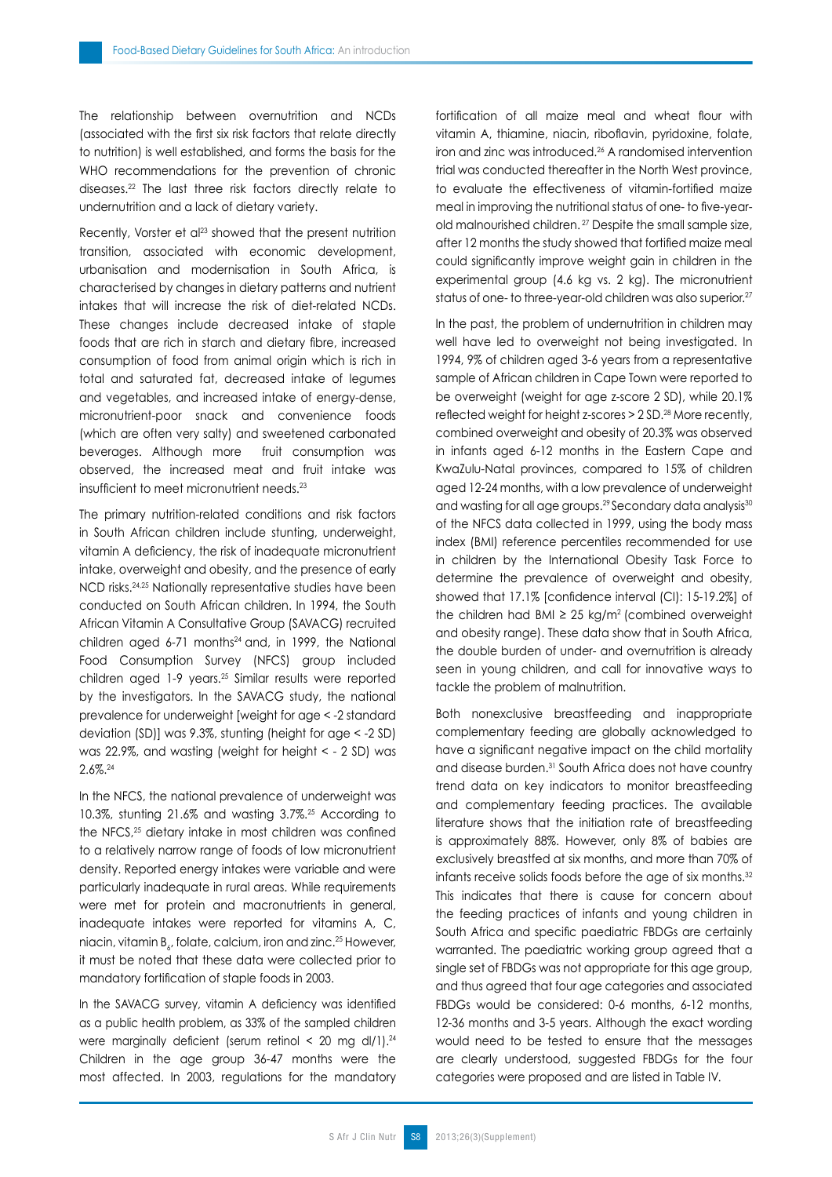The relationship between overnutrition and NCDs (associated with the first six risk factors that relate directly to nutrition) is well established, and forms the basis for the WHO recommendations for the prevention of chronic diseases.22 The last three risk factors directly relate to undernutrition and a lack of dietary variety.

Recently, Vorster et al<sup>23</sup> showed that the present nutrition transition, associated with economic development, urbanisation and modernisation in South Africa, is characterised by changes in dietary patterns and nutrient intakes that will increase the risk of diet-related NCDs. These changes include decreased intake of staple foods that are rich in starch and dietary fibre, increased consumption of food from animal origin which is rich in total and saturated fat, decreased intake of legumes and vegetables, and increased intake of energy-dense, micronutrient-poor snack and convenience foods (which are often very salty) and sweetened carbonated beverages. Although more fruit consumption was observed, the increased meat and fruit intake was insufficient to meet micronutrient needs.<sup>23</sup>

The primary nutrition-related conditions and risk factors in South African children include stunting, underweight, vitamin A deficiency, the risk of inadequate micronutrient intake, overweight and obesity, and the presence of early NCD risks.24,25 Nationally representative studies have been conducted on South African children. In 1994, the South African Vitamin A Consultative Group (SAVACG) recruited children aged  $6-71$  months $24$  and, in 1999, the National Food Consumption Survey (NFCS) group included children aged 1-9 years.25 Similar results were reported by the investigators. In the SAVACG study, the national prevalence for underweight [weight for age < -2 standard deviation (SD)] was 9.3%, stunting (height for age < -2 SD) was 22.9%, and wasting (weight for height < - 2 SD) was 2.6%.24

In the NFCS, the national prevalence of underweight was 10.3%, stunting 21.6% and wasting 3.7%.25 According to the NFCS,<sup>25</sup> dietary intake in most children was confined to a relatively narrow range of foods of low micronutrient density. Reported energy intakes were variable and were particularly inadequate in rural areas. While requirements were met for protein and macronutrients in general, inadequate intakes were reported for vitamins A, C, niacin, vitamin  $\mathtt{B}_\wp$ , folate, calcium, iron and zinc. $^{25}$  However, it must be noted that these data were collected prior to mandatory fortification of staple foods in 2003.

In the SAVACG survey, vitamin A deficiency was identified as a public health problem, as 33% of the sampled children were marginally deficient (serum retinol  $\leq$  20 mg dl/1).<sup>24</sup> Children in the age group 36-47 months were the most affected. In 2003, regulations for the mandatory fortification of all maize meal and wheat flour with vitamin A, thiamine, niacin, riboflavin, pyridoxine, folate, iron and zinc was introduced.26 A randomised intervention trial was conducted thereafter in the North West province, to evaluate the effectiveness of vitamin-fortified maize meal in improving the nutritional status of one- to five-yearold malnourished children. 27 Despite the small sample size, after 12 months the study showed that fortified maize meal could significantly improve weight gain in children in the experimental group (4.6 kg vs. 2 kg). The micronutrient status of one- to three-year-old children was also superior.<sup>27</sup>

In the past, the problem of undernutrition in children may well have led to overweight not being investigated. In 1994, 9% of children aged 3-6 years from a representative sample of African children in Cape Town were reported to be overweight (weight for age z-score 2 SD), while 20.1% reflected weight for height z-scores > 2 SD.28 More recently, combined overweight and obesity of 20.3% was observed in infants aged 6-12 months in the Eastern Cape and KwaZulu-Natal provinces, compared to 15% of children aged 12-24 months, with a low prevalence of underweight and wasting for all age groups.<sup>29</sup> Secondary data analysis<sup>30</sup> of the NFCS data collected in 1999, using the body mass index (BMI) reference percentiles recommended for use in children by the International Obesity Task Force to determine the prevalence of overweight and obesity, showed that 17.1% [confidence interval (CI): 15-19.2%] of the children had BMI  $\geq$  25 kg/m<sup>2</sup> (combined overweight and obesity range). These data show that in South Africa, the double burden of under- and overnutrition is already seen in young children, and call for innovative ways to tackle the problem of malnutrition.

Both nonexclusive breastfeeding and inappropriate complementary feeding are globally acknowledged to have a significant negative impact on the child mortality and disease burden.<sup>31</sup> South Africa does not have country trend data on key indicators to monitor breastfeeding and complementary feeding practices. The available literature shows that the initiation rate of breastfeeding is approximately 88%. However, only 8% of babies are exclusively breastfed at six months, and more than 70% of infants receive solids foods before the age of six months.<sup>32</sup> This indicates that there is cause for concern about the feeding practices of infants and young children in South Africa and specific paediatric FBDGs are certainly warranted. The paediatric working group agreed that a single set of FBDGs was not appropriate for this age group, and thus agreed that four age categories and associated FBDGs would be considered: 0-6 months, 6-12 months, 12-36 months and 3-5 years. Although the exact wording would need to be tested to ensure that the messages are clearly understood, suggested FBDGs for the four categories were proposed and are listed in Table IV.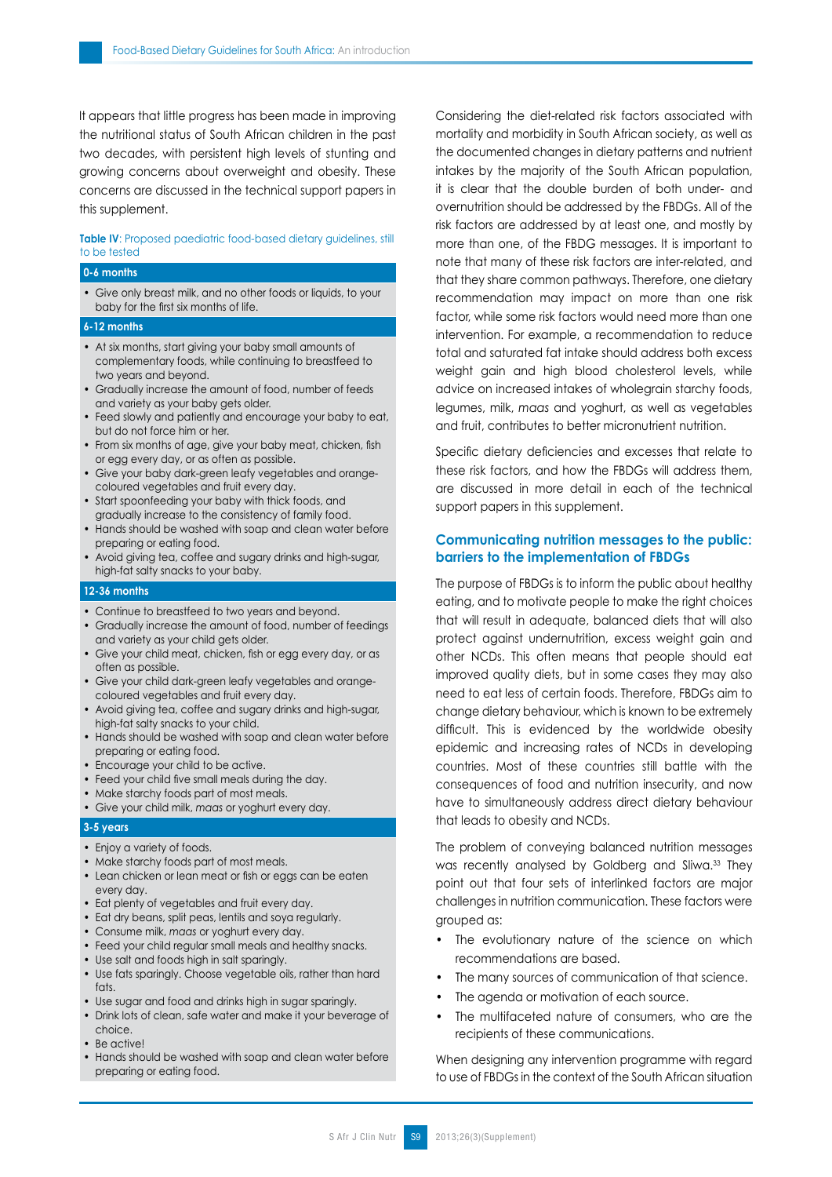It appears that little progress has been made in improving the nutritional status of South African children in the past two decades, with persistent high levels of stunting and growing concerns about overweight and obesity. These concerns are discussed in the technical support papers in this supplement.

### **Table IV**: Proposed paediatric food-based dietary guidelines, still to be tested

#### **0-6 months**

• Give only breast milk, and no other foods or liquids, to your baby for the first six months of life.

#### **6-12 months**

- At six months, start giving your baby small amounts of complementary foods, while continuing to breastfeed to two years and beyond.
- Gradually increase the amount of food, number of feeds and variety as your baby gets older.
- Feed slowly and patiently and encourage your baby to eat, but do not force him or her.
- From six months of age, give your baby meat, chicken, fish or egg every day, or as often as possible.
- Give your baby dark-green leafy vegetables and orangecoloured vegetables and fruit every day.
- Start spoonfeeding your baby with thick foods, and gradually increase to the consistency of family food.
- Hands should be washed with soap and clean water before preparing or eating food.
- Avoid giving tea, coffee and sugary drinks and high-sugar, high-fat salty snacks to your baby.

#### **12-36 months**

- Continue to breastfeed to two years and beyond.
- Gradually increase the amount of food, number of feedings and variety as your child gets older.
- Give your child meat, chicken, fish or egg every day, or as often as possible.
- Give your child dark-green leafy vegetables and orangecoloured vegetables and fruit every day.
- Avoid giving tea, coffee and sugary drinks and high-sugar, high-fat salty snacks to your child.
- Hands should be washed with soap and clean water before preparing or eating food.
- Encourage your child to be active.
- Feed your child five small meals during the day.
- Make starchy foods part of most meals.
- Give your child milk, *maas* or yoghurt every day.

#### **3-5 years**

- Enjoy a variety of foods.
- Make starchy foods part of most meals.
- Lean chicken or lean meat or fish or eggs can be eaten every day.
- Eat plenty of vegetables and fruit every day.
- Eat dry beans, split peas, lentils and soya regularly.
- Consume milk, *maas* or yoghurt every day.
- Feed your child regular small meals and healthy snacks.
- Use salt and foods high in salt sparingly.
- Use fats sparingly. Choose vegetable oils, rather than hard fats.
- Use sugar and food and drinks high in sugar sparingly.
- Drink lots of clean, safe water and make it your beverage of choice.
- Be active!
- Hands should be washed with soap and clean water before preparing or eating food.

Considering the diet-related risk factors associated with mortality and morbidity in South African society, as well as the documented changes in dietary patterns and nutrient intakes by the majority of the South African population, it is clear that the double burden of both under- and overnutrition should be addressed by the FBDGs. All of the risk factors are addressed by at least one, and mostly by more than one, of the FBDG messages. It is important to note that many of these risk factors are inter-related, and that they share common pathways. Therefore, one dietary recommendation may impact on more than one risk factor, while some risk factors would need more than one intervention. For example, a recommendation to reduce total and saturated fat intake should address both excess weight gain and high blood cholesterol levels, while advice on increased intakes of wholegrain starchy foods, legumes, milk, *maas* and yoghurt, as well as vegetables and fruit, contributes to better micronutrient nutrition.

Specific dietary deficiencies and excesses that relate to these risk factors, and how the FBDGs will address them, are discussed in more detail in each of the technical support papers in this supplement.

## **Communicating nutrition messages to the public: barriers to the implementation of FBDGs**

The purpose of FBDGs is to inform the public about healthy eating, and to motivate people to make the right choices that will result in adequate, balanced diets that will also protect against undernutrition, excess weight gain and other NCDs. This often means that people should eat improved quality diets, but in some cases they may also need to eat less of certain foods. Therefore, FBDGs aim to change dietary behaviour, which is known to be extremely difficult. This is evidenced by the worldwide obesity epidemic and increasing rates of NCDs in developing countries. Most of these countries still battle with the consequences of food and nutrition insecurity, and now have to simultaneously address direct dietary behaviour that leads to obesity and NCDs.

The problem of conveying balanced nutrition messages was recently analysed by Goldberg and Sliwa.<sup>33</sup> They point out that four sets of interlinked factors are major challenges in nutrition communication. These factors were grouped as:

- The evolutionary nature of the science on which recommendations are based.
- The many sources of communication of that science.
- The agenda or motivation of each source.
- The multifaceted nature of consumers, who are the recipients of these communications.

When designing any intervention programme with regard to use of FBDGs in the context of the South African situation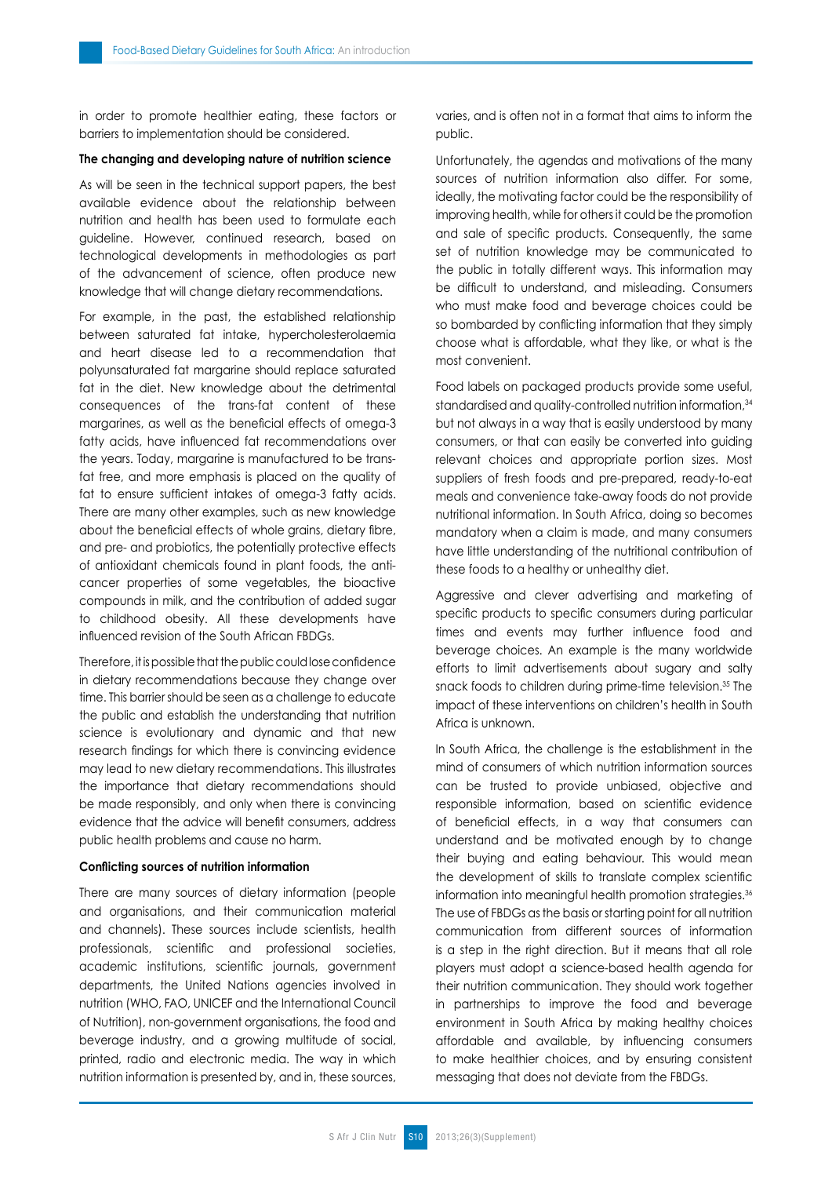in order to promote healthier eating, these factors or barriers to implementation should be considered.

#### **The changing and developing nature of nutrition science**

As will be seen in the technical support papers, the best available evidence about the relationship between nutrition and health has been used to formulate each guideline. However, continued research, based on technological developments in methodologies as part of the advancement of science, often produce new knowledge that will change dietary recommendations.

For example, in the past, the established relationship between saturated fat intake, hypercholesterolaemia and heart disease led to a recommendation that polyunsaturated fat margarine should replace saturated fat in the diet. New knowledge about the detrimental consequences of the trans*-*fat content of these margarines, as well as the beneficial effects of omega-3 fatty acids, have influenced fat recommendations over the years. Today, margarine is manufactured to be transfat free, and more emphasis is placed on the quality of fat to ensure sufficient intakes of omega-3 fatty acids. There are many other examples, such as new knowledge about the beneficial effects of whole grains, dietary fibre, and pre- and probiotics, the potentially protective effects of antioxidant chemicals found in plant foods, the anticancer properties of some vegetables, the bioactive compounds in milk, and the contribution of added sugar to childhood obesity. All these developments have influenced revision of the South African FBDGs.

Therefore, it is possible that the public could lose confidence in dietary recommendations because they change over time. This barrier should be seen as a challenge to educate the public and establish the understanding that nutrition science is evolutionary and dynamic and that new research findings for which there is convincing evidence may lead to new dietary recommendations. This illustrates the importance that dietary recommendations should be made responsibly, and only when there is convincing evidence that the advice will benefit consumers, address public health problems and cause no harm.

#### **Conflicting sources of nutrition information**

There are many sources of dietary information (people and organisations, and their communication material and channels). These sources include scientists, health professionals, scientific and professional societies, academic institutions, scientific journals, government departments, the United Nations agencies involved in nutrition (WHO, FAO, UNICEF and the International Council of Nutrition), non-government organisations, the food and beverage industry, and a growing multitude of social, printed, radio and electronic media. The way in which nutrition information is presented by, and in, these sources, varies, and is often not in a format that aims to inform the public.

Unfortunately, the agendas and motivations of the many sources of nutrition information also differ. For some, ideally, the motivating factor could be the responsibility of improving health, while for others it could be the promotion and sale of specific products. Consequently, the same set of nutrition knowledge may be communicated to the public in totally different ways. This information may be difficult to understand, and misleading. Consumers who must make food and beverage choices could be so bombarded by conflicting information that they simply choose what is affordable, what they like, or what is the most convenient.

Food labels on packaged products provide some useful, standardised and quality-controlled nutrition information, 34 but not always in a way that is easily understood by many consumers, or that can easily be converted into guiding relevant choices and appropriate portion sizes. Most suppliers of fresh foods and pre-prepared, ready-to-eat meals and convenience take-away foods do not provide nutritional information. In South Africa, doing so becomes mandatory when a claim is made, and many consumers have little understanding of the nutritional contribution of these foods to a healthy or unhealthy diet.

Aggressive and clever advertising and marketing of specific products to specific consumers during particular times and events may further influence food and beverage choices. An example is the many worldwide efforts to limit advertisements about sugary and salty snack foods to children during prime-time television.<sup>35</sup> The impact of these interventions on children's health in South Africa is unknown.

In South Africa, the challenge is the establishment in the mind of consumers of which nutrition information sources can be trusted to provide unbiased, objective and responsible information, based on scientific evidence of beneficial effects, in a way that consumers can understand and be motivated enough by to change their buying and eating behaviour. This would mean the development of skills to translate complex scientific information into meaningful health promotion strategies.<sup>36</sup> The use of FBDGs as the basis or starting point for all nutrition communication from different sources of information is a step in the right direction. But it means that all role players must adopt a science-based health agenda for their nutrition communication. They should work together in partnerships to improve the food and beverage environment in South Africa by making healthy choices affordable and available, by influencing consumers to make healthier choices, and by ensuring consistent messaging that does not deviate from the FBDGs.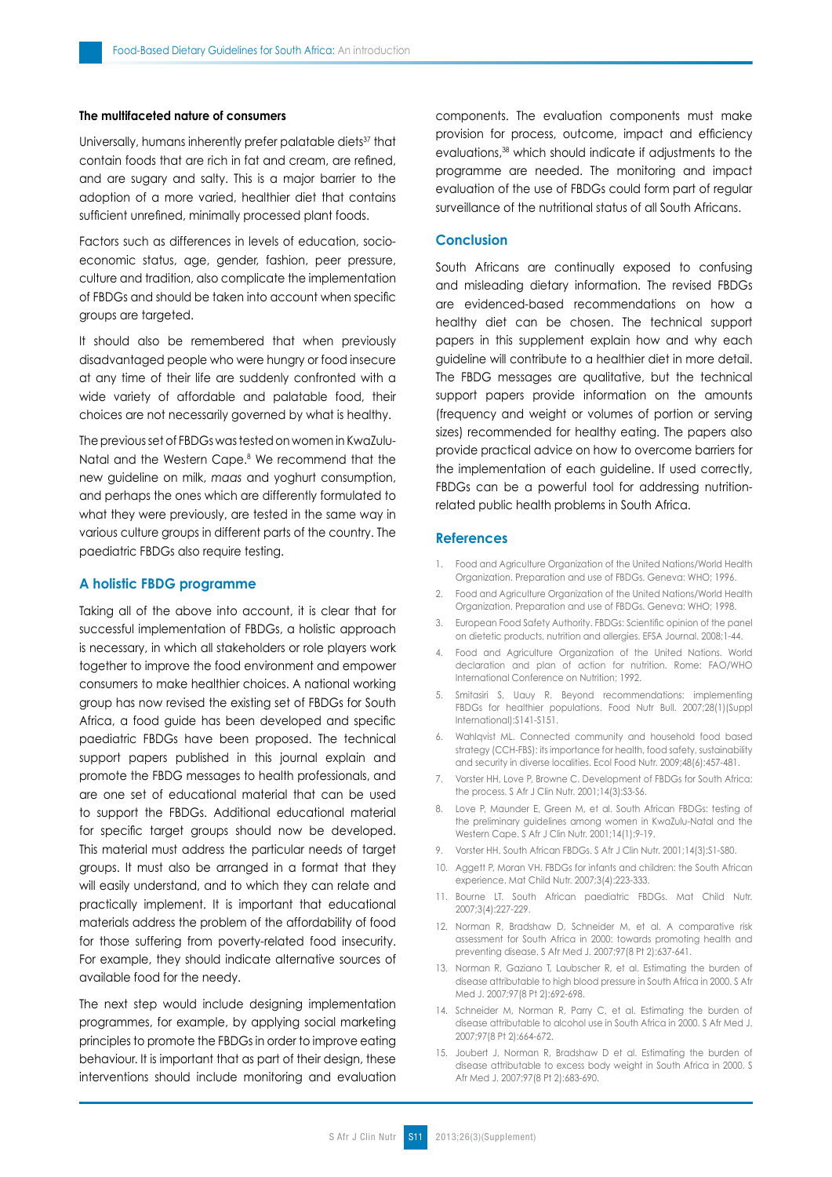## **The multifaceted nature of consumers**

Universally, humans inherently prefer palatable diets<sup>37</sup> that contain foods that are rich in fat and cream, are refined, and are sugary and salty. This is a major barrier to the adoption of a more varied, healthier diet that contains sufficient unrefined, minimally processed plant foods.

Factors such as differences in levels of education, socioeconomic status, age, gender, fashion, peer pressure, culture and tradition, also complicate the implementation of FBDGs and should be taken into account when specific groups are targeted.

It should also be remembered that when previously disadvantaged people who were hungry or food insecure at any time of their life are suddenly confronted with a wide variety of affordable and palatable food, their choices are not necessarily governed by what is healthy.

The previous set of FBDGs was tested on women in KwaZulu-Natal and the Western Cape.8 We recommend that the new guideline on milk, *maas* and yoghurt consumption, and perhaps the ones which are differently formulated to what they were previously, are tested in the same way in various culture groups in different parts of the country. The paediatric FBDGs also require testing.

#### **A holistic FBDG programme**

Taking all of the above into account, it is clear that for successful implementation of FBDGs, a holistic approach is necessary, in which all stakeholders or role players work together to improve the food environment and empower consumers to make healthier choices. A national working group has now revised the existing set of FBDGs for South Africa, a food guide has been developed and specific paediatric FBDGs have been proposed. The technical support papers published in this journal explain and promote the FBDG messages to health professionals, and are one set of educational material that can be used to support the FBDGs. Additional educational material for specific target groups should now be developed. This material must address the particular needs of target groups. It must also be arranged in a format that they will easily understand, and to which they can relate and practically implement. It is important that educational materials address the problem of the affordability of food for those suffering from poverty-related food insecurity. For example, they should indicate alternative sources of available food for the needy.

The next step would include designing implementation programmes, for example, by applying social marketing principles to promote the FBDGs in order to improve eating behaviour. It is important that as part of their design, these interventions should include monitoring and evaluation components. The evaluation components must make provision for process, outcome, impact and efficiency evaluations,<sup>38</sup> which should indicate if adjustments to the programme are needed. The monitoring and impact evaluation of the use of FBDGs could form part of regular surveillance of the nutritional status of all South Africans.

## **Conclusion**

South Africans are continually exposed to confusing and misleading dietary information. The revised FBDGs are evidenced-based recommendations on how a healthy diet can be chosen. The technical support papers in this supplement explain how and why each guideline will contribute to a healthier diet in more detail. The FBDG messages are qualitative, but the technical support papers provide information on the amounts (frequency and weight or volumes of portion or serving sizes) recommended for healthy eating. The papers also provide practical advice on how to overcome barriers for the implementation of each guideline. If used correctly, FBDGs can be a powerful tool for addressing nutritionrelated public health problems in South Africa.

#### **References**

- 1. Food and Agriculture Organization of the United Nations/World Health Organization. Preparation and use of FBDGs. Geneva: WHO; 1996.
- 2. Food and Agriculture Organization of the United Nations/World Health Organization. Preparation and use of FBDGs. Geneva: WHO; 1998.
- 3. European Food Safety Authority. FBDGs: Scientific opinion of the panel on dietetic products, nutrition and allergies. EFSA Journal. 2008;1-44.
- 4. Food and Agriculture Organization of the United Nations. World declaration and plan of action for nutrition. Rome: FAO/WHO International Conference on Nutrition; 1992.
- 5. Smitasiri S, Uauy R. Beyond recommendations: implementing FBDGs for healthier populations. Food Nutr Bull. 2007;28(1)(Suppl International):S141-S151.
- 6. Wahlqvist ML. Connected community and household food based strategy (CCH-FBS): its importance for health, food safety, sustainability and security in diverse localities. Ecol Food Nutr. 2009;48(6):457-481.
- 7. Vorster HH, Love P, Browne C. Development of FBDGs for South Africa: the process. S Afr J Clin Nutr. 2001;14(3):S3-S6.
- 8. Love P, Maunder E, Green M, et al. South African FBDGs: testing of the preliminary guidelines among women in KwaZulu-Natal and the Western Cape. S Afr J Clin Nutr. 2001;14(1):9-19.
- 9. Vorster HH. South African FBDGs. S Afr J Clin Nutr. 2001;14(3):S1-S80.
- 10. Aggett P, Moran VH. FBDGs for infants and children: the South African experience. Mat Child Nutr. 2007;3(4):223-333.
- 11. Bourne LT. South African paediatric FBDGs. Mat Child Nutr. 2007;3(4):227-229.
- 12. Norman R, Bradshaw D, Schneider M, et al. A comparative risk assessment for South Africa in 2000: towards promoting health and preventing disease. S Afr Med J. 2007;97(8 Pt 2):637-641.
- 13. Norman R, Gaziano T, Laubscher R, et al. Estimating the burden of disease attributable to high blood pressure in South Africa in 2000. S Afr Med J. 2007;97(8 Pt 2):692-698.
- 14. Schneider M, Norman R, Parry C, et al. Estimating the burden of disease attributable to alcohol use in South Africa in 2000. S Afr Med J. 2007;97(8 Pt 2):664-672.
- 15. Joubert J, Norman R, Bradshaw D et al. Estimating the burden of disease attributable to excess body weight in South Africa in 2000. S Afr Med J. 2007;97(8 Pt 2):683-690.